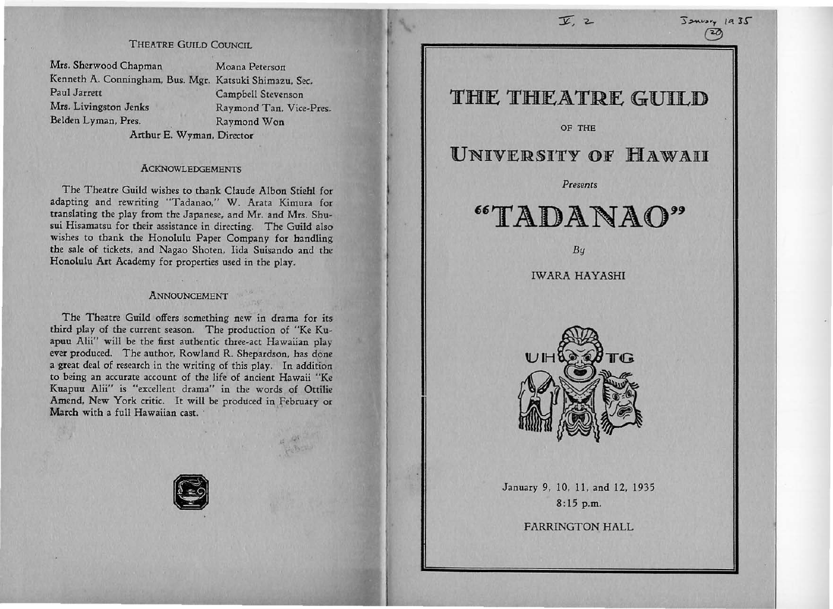## THEATRE GUILD COUNCIL

Mrs. Sherwood Chapman Moana Peterson Kenneth A. Conningham, Bus. Mgr. Katsuki Shimazu. Sec. Paul Jarrett Campbell Stevenson Mrs. Livingston Jenks Raymond Tan. Vice-Pres. Belden Lyman, Pres. Raymond Won

Arthur E. Wyman, Director

#### **ACKNOWLEDGEMENTS**

The Theatre Guild wishes to thank Claude Albon Stiehl for adapting and rewriting "Tadanao," W. Arata Kimura for translating the play from the Japanese, and Mr. and Mrs. Shusui Hisamatsu for their assistance in directing. The Guild also wishes to thank the Honolulu Paper Company for handling the sale of tickets, and Nagao Shoten, Iida Suisando and the Honolulu Art Academy for properties used in the play.

### ANNOUNCEMENT

The Theatre Guild offers something new in drama for its third play of the current season. The production of "Ke Kuapuu Alii" will be the first authentic three-act Hawaiian play ever produced. The author, Rowland R. Shepardson, has done a great deal of research in the writing of this play. In addition to being an accurate account of the life of ancient Hawaii "Ke Kuapuu Alii" is "excellent drama" in the words of Ottilie Amend, New York critic. It will be produced in February or March with a full Hawaiian cast.



## THE THEATRE GUILD

 $\overline{Y}$ ,  $2$  :  $\overline{S}$   $\overline{S}$   $\overline{S}$   $\overline{S}$   $\overline{S}$   $\overline{S}$ 

 $\circled{20}$ 

OF THE

# UNIVERSITY OF HAWAII

#### *Presents*

# $\mathop{\rm TADANAO}$

*By* 

**IWARA HAYASHI** 



January 9, 10, 11. and 12, 1935 8:15p.m.

FARRINGTON HALL